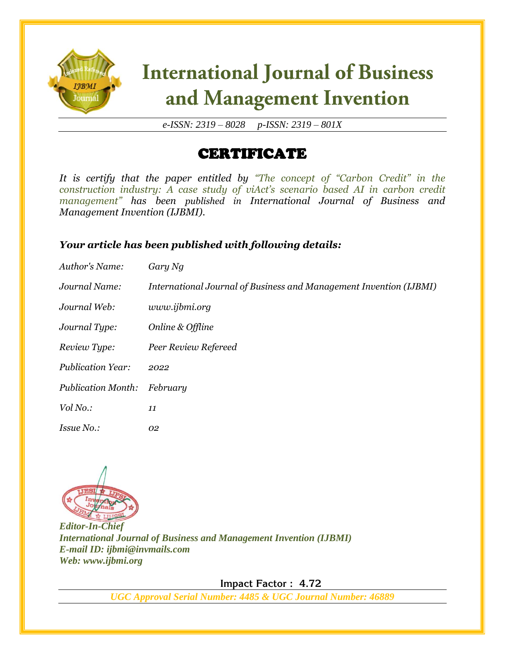

*e-ISSN: 2319 – 8028 p-ISSN: 2319 – 801X*

### CERTIFICATE

*It is certify that the paper entitled by "The concept of "Carbon Credit" in the construction industry: A case study of viAct's scenario based AI in carbon credit management" has been published in International Journal of Business and Management Invention (IJBMI).*

#### *Your article has been published with following details:*

| Author's Name:            | Gary Ng                                                            |
|---------------------------|--------------------------------------------------------------------|
| Journal Name:             | International Journal of Business and Management Invention (IJBMI) |
| Journal Web:              | www.ijbmi.org                                                      |
| Journal Type:             | Online & Offline                                                   |
| Review Type:              | Peer Review Refereed                                               |
| <b>Publication Year:</b>  | 2022                                                               |
| <b>Publication Month:</b> | February                                                           |
| Vol No.:                  | 11                                                                 |
| <i>Issue No.:</i>         | 02                                                                 |



*Editor-In-Chief International Journal of Business and Management Invention (IJBMI) E-mail ID: ijbmi@invmails.com Web: www.ijbmi.org*

 **Impact Factor : 4.72**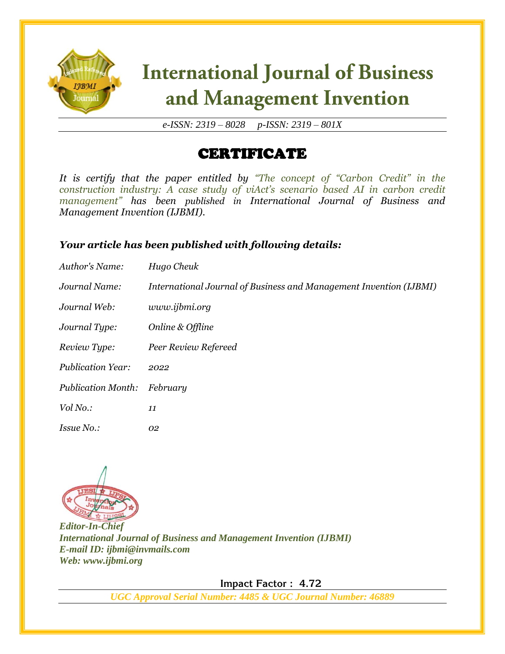

*e-ISSN: 2319 – 8028 p-ISSN: 2319 – 801X*

### CERTIFICATE

*It is certify that the paper entitled by "The concept of "Carbon Credit" in the construction industry: A case study of viAct's scenario based AI in carbon credit management" has been published in International Journal of Business and Management Invention (IJBMI).*

#### *Your article has been published with following details:*

| Author's Name:            | Hugo Cheuk                                                         |
|---------------------------|--------------------------------------------------------------------|
| Journal Name:             | International Journal of Business and Management Invention (IJBMI) |
| Journal Web:              | www.ijbmi.org                                                      |
| Journal Type:             | Online & Offline                                                   |
| Review Type:              | Peer Review Refereed                                               |
| <b>Publication Year:</b>  | 2022                                                               |
| <b>Publication Month:</b> | February                                                           |
| Vol No.:                  | 11                                                                 |
| <i>Issue No.:</i>         | 02                                                                 |



*Editor-In-Chief International Journal of Business and Management Invention (IJBMI) E-mail ID: ijbmi@invmails.com Web: www.ijbmi.org*

 **Impact Factor : 4.72**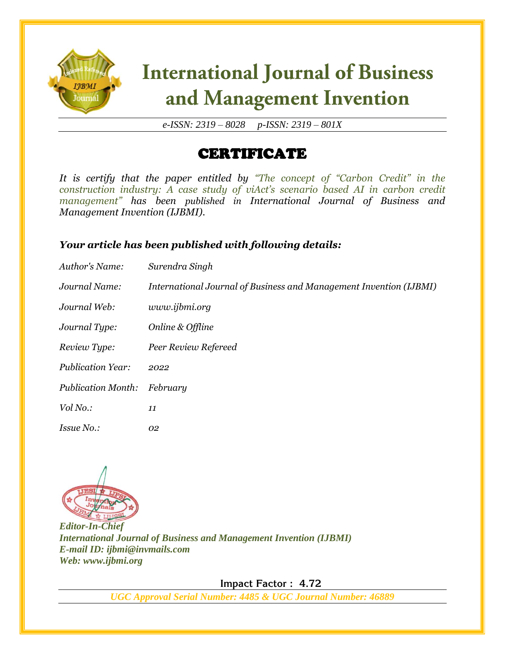

*e-ISSN: 2319 – 8028 p-ISSN: 2319 – 801X*

### CERTIFICATE

*It is certify that the paper entitled by "The concept of "Carbon Credit" in the construction industry: A case study of viAct's scenario based AI in carbon credit management" has been published in International Journal of Business and Management Invention (IJBMI).*

#### *Your article has been published with following details:*

| Author's Name:            | Surendra Singh                                                     |
|---------------------------|--------------------------------------------------------------------|
| Journal Name:             | International Journal of Business and Management Invention (IJBMI) |
| Journal Web:              | www.ijbmi.org                                                      |
| Journal Type:             | Online & Offline                                                   |
| Review Type:              | Peer Review Refereed                                               |
| <b>Publication Year:</b>  | 2022                                                               |
| <b>Publication Month:</b> | February                                                           |
| Vol No.:                  | 11                                                                 |
| <i>Issue No.:</i>         | 02                                                                 |



*Editor-In-Chief International Journal of Business and Management Invention (IJBMI) E-mail ID: ijbmi@invmails.com Web: www.ijbmi.org*

 **Impact Factor : 4.72**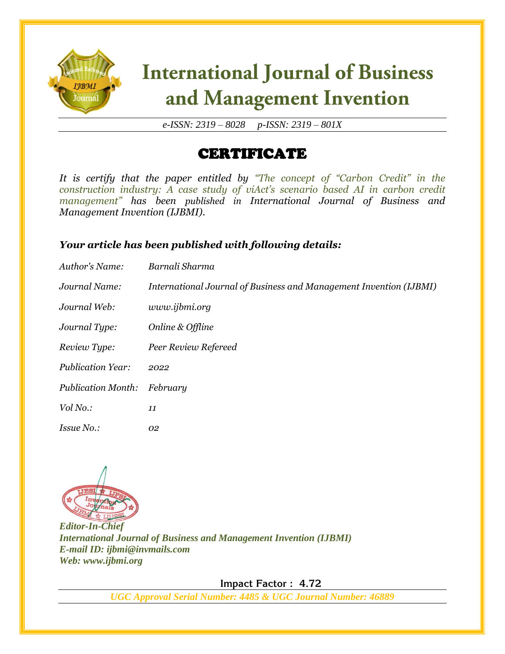

*e-ISSN: 2319 – 8028 p-ISSN: 2319 – 801X*

### CERTIFICATE

*It is certify that the paper entitled by "The concept of "Carbon Credit" in the construction industry: A case study of viAct's scenario based AI in carbon credit management" has been published in International Journal of Business and Management Invention (IJBMI).*

#### *Your article has been published with following details:*

| Author's Name:            | Barnali Sharma                                                     |
|---------------------------|--------------------------------------------------------------------|
| Journal Name:             | International Journal of Business and Management Invention (IJBMI) |
| Journal Web:              | www.ijbmi.org                                                      |
| Journal Type:             | Online & Offline                                                   |
| Review Type:              | Peer Review Refereed                                               |
| <b>Publication Year:</b>  | 2022                                                               |
| <b>Publication Month:</b> | February                                                           |
| Vol No.:                  | 11                                                                 |
| <i>Issue No.:</i>         | 02                                                                 |



*Editor-In-Chief International Journal of Business and Management Invention (IJBMI) E-mail ID: ijbmi@invmails.com Web: www.ijbmi.org*

 **Impact Factor : 4.72**